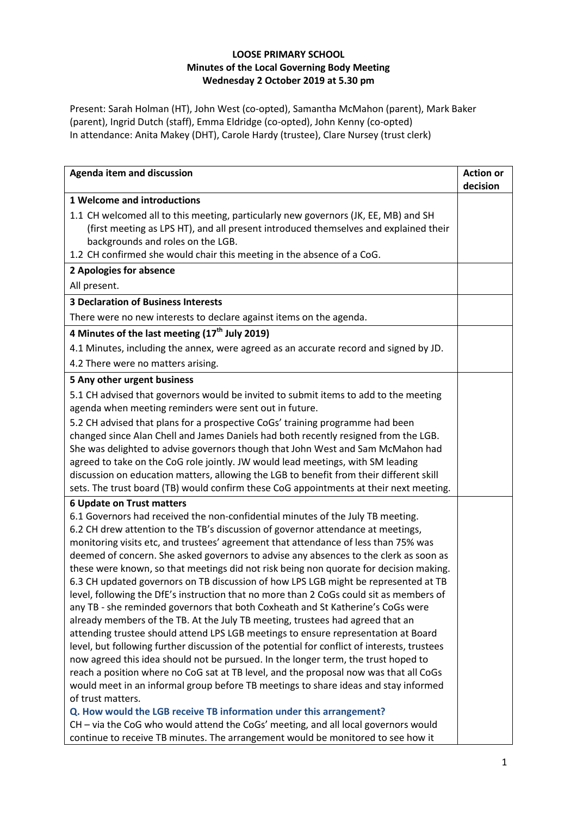## **LOOSE PRIMARY SCHOOL Minutes of the Local Governing Body Meeting Wednesday 2 October 2019 at 5.30 pm**

Present: Sarah Holman (HT), John West (co-opted), Samantha McMahon (parent), Mark Baker (parent), Ingrid Dutch (staff), Emma Eldridge (co-opted), John Kenny (co-opted) In attendance: Anita Makey (DHT), Carole Hardy (trustee), Clare Nursey (trust clerk)

| Agenda item and discussion                                                                                                                                                                                                                                                                                                                                                                                                                                                                                                                                                                                                                                                                                                                                                                                                                                                                                                                                                                                                                                                                                                                                                                                                                                                                                                                                   | <b>Action or</b><br>decision |
|--------------------------------------------------------------------------------------------------------------------------------------------------------------------------------------------------------------------------------------------------------------------------------------------------------------------------------------------------------------------------------------------------------------------------------------------------------------------------------------------------------------------------------------------------------------------------------------------------------------------------------------------------------------------------------------------------------------------------------------------------------------------------------------------------------------------------------------------------------------------------------------------------------------------------------------------------------------------------------------------------------------------------------------------------------------------------------------------------------------------------------------------------------------------------------------------------------------------------------------------------------------------------------------------------------------------------------------------------------------|------------------------------|
| <b>1 Welcome and introductions</b>                                                                                                                                                                                                                                                                                                                                                                                                                                                                                                                                                                                                                                                                                                                                                                                                                                                                                                                                                                                                                                                                                                                                                                                                                                                                                                                           |                              |
| 1.1 CH welcomed all to this meeting, particularly new governors (JK, EE, MB) and SH<br>(first meeting as LPS HT), and all present introduced themselves and explained their<br>backgrounds and roles on the LGB.<br>1.2 CH confirmed she would chair this meeting in the absence of a CoG.                                                                                                                                                                                                                                                                                                                                                                                                                                                                                                                                                                                                                                                                                                                                                                                                                                                                                                                                                                                                                                                                   |                              |
| 2 Apologies for absence                                                                                                                                                                                                                                                                                                                                                                                                                                                                                                                                                                                                                                                                                                                                                                                                                                                                                                                                                                                                                                                                                                                                                                                                                                                                                                                                      |                              |
| All present.                                                                                                                                                                                                                                                                                                                                                                                                                                                                                                                                                                                                                                                                                                                                                                                                                                                                                                                                                                                                                                                                                                                                                                                                                                                                                                                                                 |                              |
| <b>3 Declaration of Business Interests</b>                                                                                                                                                                                                                                                                                                                                                                                                                                                                                                                                                                                                                                                                                                                                                                                                                                                                                                                                                                                                                                                                                                                                                                                                                                                                                                                   |                              |
| There were no new interests to declare against items on the agenda.                                                                                                                                                                                                                                                                                                                                                                                                                                                                                                                                                                                                                                                                                                                                                                                                                                                                                                                                                                                                                                                                                                                                                                                                                                                                                          |                              |
| 4 Minutes of the last meeting (17 <sup>th</sup> July 2019)                                                                                                                                                                                                                                                                                                                                                                                                                                                                                                                                                                                                                                                                                                                                                                                                                                                                                                                                                                                                                                                                                                                                                                                                                                                                                                   |                              |
| 4.1 Minutes, including the annex, were agreed as an accurate record and signed by JD.<br>4.2 There were no matters arising.                                                                                                                                                                                                                                                                                                                                                                                                                                                                                                                                                                                                                                                                                                                                                                                                                                                                                                                                                                                                                                                                                                                                                                                                                                  |                              |
| 5 Any other urgent business                                                                                                                                                                                                                                                                                                                                                                                                                                                                                                                                                                                                                                                                                                                                                                                                                                                                                                                                                                                                                                                                                                                                                                                                                                                                                                                                  |                              |
| 5.1 CH advised that governors would be invited to submit items to add to the meeting<br>agenda when meeting reminders were sent out in future.                                                                                                                                                                                                                                                                                                                                                                                                                                                                                                                                                                                                                                                                                                                                                                                                                                                                                                                                                                                                                                                                                                                                                                                                               |                              |
| 5.2 CH advised that plans for a prospective CoGs' training programme had been<br>changed since Alan Chell and James Daniels had both recently resigned from the LGB.<br>She was delighted to advise governors though that John West and Sam McMahon had<br>agreed to take on the CoG role jointly. JW would lead meetings, with SM leading<br>discussion on education matters, allowing the LGB to benefit from their different skill<br>sets. The trust board (TB) would confirm these CoG appointments at their next meeting.                                                                                                                                                                                                                                                                                                                                                                                                                                                                                                                                                                                                                                                                                                                                                                                                                              |                              |
| <b>6 Update on Trust matters</b>                                                                                                                                                                                                                                                                                                                                                                                                                                                                                                                                                                                                                                                                                                                                                                                                                                                                                                                                                                                                                                                                                                                                                                                                                                                                                                                             |                              |
| 6.1 Governors had received the non-confidential minutes of the July TB meeting.<br>6.2 CH drew attention to the TB's discussion of governor attendance at meetings,<br>monitoring visits etc, and trustees' agreement that attendance of less than 75% was<br>deemed of concern. She asked governors to advise any absences to the clerk as soon as<br>these were known, so that meetings did not risk being non quorate for decision making.<br>6.3 CH updated governors on TB discussion of how LPS LGB might be represented at TB<br>level, following the DfE's instruction that no more than 2 CoGs could sit as members of<br>any TB - she reminded governors that both Coxheath and St Katherine's CoGs were<br>already members of the TB. At the July TB meeting, trustees had agreed that an<br>attending trustee should attend LPS LGB meetings to ensure representation at Board<br>level, but following further discussion of the potential for conflict of interests, trustees<br>now agreed this idea should not be pursued. In the longer term, the trust hoped to<br>reach a position where no CoG sat at TB level, and the proposal now was that all CoGs<br>would meet in an informal group before TB meetings to share ideas and stay informed<br>of trust matters.<br>Q. How would the LGB receive TB information under this arrangement? |                              |
| CH - via the CoG who would attend the CoGs' meeting, and all local governors would<br>continue to receive TB minutes. The arrangement would be monitored to see how it                                                                                                                                                                                                                                                                                                                                                                                                                                                                                                                                                                                                                                                                                                                                                                                                                                                                                                                                                                                                                                                                                                                                                                                       |                              |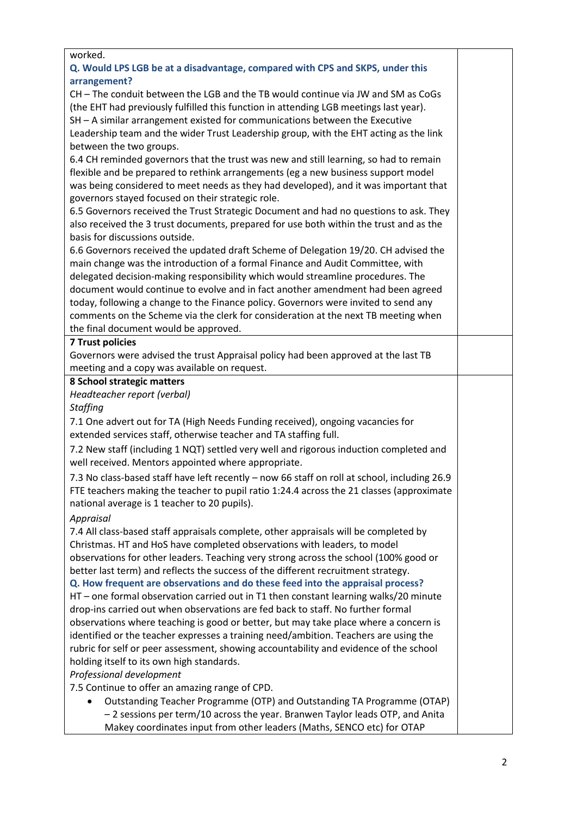| worked.                                                                                      |  |
|----------------------------------------------------------------------------------------------|--|
| Q. Would LPS LGB be at a disadvantage, compared with CPS and SKPS, under this                |  |
| arrangement?                                                                                 |  |
| CH - The conduit between the LGB and the TB would continue via JW and SM as CoGs             |  |
| (the EHT had previously fulfilled this function in attending LGB meetings last year).        |  |
| SH - A similar arrangement existed for communications between the Executive                  |  |
| Leadership team and the wider Trust Leadership group, with the EHT acting as the link        |  |
| between the two groups.                                                                      |  |
| 6.4 CH reminded governors that the trust was new and still learning, so had to remain        |  |
| flexible and be prepared to rethink arrangements (eg a new business support model            |  |
| was being considered to meet needs as they had developed), and it was important that         |  |
| governors stayed focused on their strategic role.                                            |  |
| 6.5 Governors received the Trust Strategic Document and had no questions to ask. They        |  |
| also received the 3 trust documents, prepared for use both within the trust and as the       |  |
| basis for discussions outside.                                                               |  |
| 6.6 Governors received the updated draft Scheme of Delegation 19/20. CH advised the          |  |
| main change was the introduction of a formal Finance and Audit Committee, with               |  |
| delegated decision-making responsibility which would streamline procedures. The              |  |
| document would continue to evolve and in fact another amendment had been agreed              |  |
| today, following a change to the Finance policy. Governors were invited to send any          |  |
| comments on the Scheme via the clerk for consideration at the next TB meeting when           |  |
| the final document would be approved.                                                        |  |
| <b>7 Trust policies</b>                                                                      |  |
| Governors were advised the trust Appraisal policy had been approved at the last TB           |  |
| meeting and a copy was available on request.                                                 |  |
| 8 School strategic matters                                                                   |  |
| Headteacher report (verbal)                                                                  |  |
| <b>Staffing</b>                                                                              |  |
| 7.1 One advert out for TA (High Needs Funding received), ongoing vacancies for               |  |
| extended services staff, otherwise teacher and TA staffing full.                             |  |
| 7.2 New staff (including 1 NQT) settled very well and rigorous induction completed and       |  |
| well received. Mentors appointed where appropriate.                                          |  |
| 7.3 No class-based staff have left recently - now 66 staff on roll at school, including 26.9 |  |
| FTE teachers making the teacher to pupil ratio 1:24.4 across the 21 classes (approximate     |  |
| national average is 1 teacher to 20 pupils).                                                 |  |
| Appraisal                                                                                    |  |
| 7.4 All class-based staff appraisals complete, other appraisals will be completed by         |  |
| Christmas. HT and HoS have completed observations with leaders, to model                     |  |
| observations for other leaders. Teaching very strong across the school (100% good or         |  |
| better last term) and reflects the success of the different recruitment strategy.            |  |
| Q. How frequent are observations and do these feed into the appraisal process?               |  |
| HT - one formal observation carried out in T1 then constant learning walks/20 minute         |  |
| drop-ins carried out when observations are fed back to staff. No further formal              |  |
| observations where teaching is good or better, but may take place where a concern is         |  |
| identified or the teacher expresses a training need/ambition. Teachers are using the         |  |
| rubric for self or peer assessment, showing accountability and evidence of the school        |  |
| holding itself to its own high standards.                                                    |  |
| Professional development                                                                     |  |
| 7.5 Continue to offer an amazing range of CPD.                                               |  |
| Outstanding Teacher Programme (OTP) and Outstanding TA Programme (OTAP)                      |  |
| - 2 sessions per term/10 across the year. Branwen Taylor leads OTP, and Anita                |  |
| Makey coordinates input from other leaders (Maths, SENCO etc) for OTAP                       |  |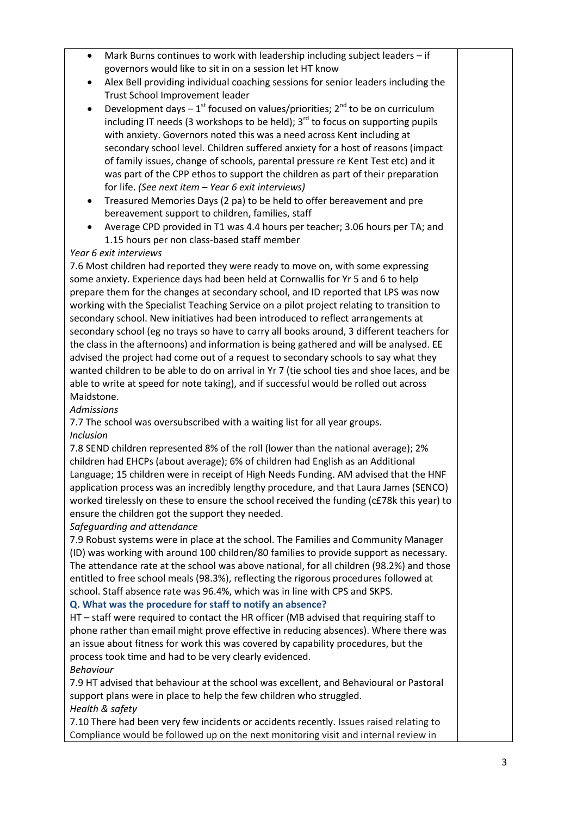| Mark Burns continues to work with leadership including subject leaders - if<br>$\bullet$           |  |
|----------------------------------------------------------------------------------------------------|--|
| governors would like to sit in on a session let HT know                                            |  |
| Alex Bell providing individual coaching sessions for senior leaders including the<br>$\bullet$     |  |
| Trust School Improvement leader                                                                    |  |
| Development days $-1^{st}$ focused on values/priorities; $2^{nd}$ to be on curriculum<br>$\bullet$ |  |
| including IT needs (3 workshops to be held); $3rd$ to focus on supporting pupils                   |  |
| with anxiety. Governors noted this was a need across Kent including at                             |  |
| secondary school level. Children suffered anxiety for a host of reasons (impact                    |  |
| of family issues, change of schools, parental pressure re Kent Test etc) and it                    |  |
| was part of the CPP ethos to support the children as part of their preparation                     |  |
| for life. (See next item - Year 6 exit interviews)                                                 |  |
| Treasured Memories Days (2 pa) to be held to offer bereavement and pre<br>٠                        |  |
| bereavement support to children, families, staff                                                   |  |
| Average CPD provided in T1 was 4.4 hours per teacher; 3.06 hours per TA; and<br>$\bullet$          |  |
| 1.15 hours per non class-based staff member                                                        |  |
| Year 6 exit interviews                                                                             |  |
| 7.6 Most children had reported they were ready to move on, with some expressing                    |  |
| some anxiety. Experience days had been held at Cornwallis for Yr 5 and 6 to help                   |  |
| prepare them for the changes at secondary school, and ID reported that LPS was now                 |  |
| working with the Specialist Teaching Service on a pilot project relating to transition to          |  |
| secondary school. New initiatives had been introduced to reflect arrangements at                   |  |
| secondary school (eg no trays so have to carry all books around, 3 different teachers for          |  |
| the class in the afternoons) and information is being gathered and will be analysed. EE            |  |
| advised the project had come out of a request to secondary schools to say what they                |  |
| wanted children to be able to do on arrival in Yr 7 (tie school ties and shoe laces, and be        |  |
| able to write at speed for note taking), and if successful would be rolled out across              |  |
| Maidstone.                                                                                         |  |
| <b>Admissions</b>                                                                                  |  |
| 7.7 The school was oversubscribed with a waiting list for all year groups.                         |  |
| <b>Inclusion</b>                                                                                   |  |
| 7.8 SEND children represented 8% of the roll (lower than the national average); 2%                 |  |
| children had EHCPs (about average); 6% of children had English as an Additional                    |  |
| Language; 15 children were in receipt of High Needs Funding. AM advised that the HNF               |  |
| application process was an incredibly lengthy procedure, and that Laura James (SENCO)              |  |
| worked tirelessly on these to ensure the school received the funding (c£78k this year) to          |  |
| ensure the children got the support they needed.                                                   |  |
| Safeguarding and attendance                                                                        |  |
| 7.9 Robust systems were in place at the school. The Families and Community Manager                 |  |
| (ID) was working with around 100 children/80 families to provide support as necessary.             |  |
| The attendance rate at the school was above national, for all children (98.2%) and those           |  |
| entitled to free school meals (98.3%), reflecting the rigorous procedures followed at              |  |
| school. Staff absence rate was 96.4%, which was in line with CPS and SKPS.                         |  |
| Q. What was the procedure for staff to notify an absence?                                          |  |
| HT - staff were required to contact the HR officer (MB advised that requiring staff to             |  |
| phone rather than email might prove effective in reducing absences). Where there was               |  |
| an issue about fitness for work this was covered by capability procedures, but the                 |  |
| process took time and had to be very clearly evidenced.                                            |  |
| Behaviour                                                                                          |  |
| 7.9 HT advised that behaviour at the school was excellent, and Behavioural or Pastoral             |  |
| support plans were in place to help the few children who struggled.                                |  |
| Health & safety                                                                                    |  |
| 7.10 There had been very few incidents or accidents recently Issues raised relating to             |  |

7.10 There had been very few incidents or accidents recently. Issues raised relating to Compliance would be followed up on the next monitoring visit and internal review in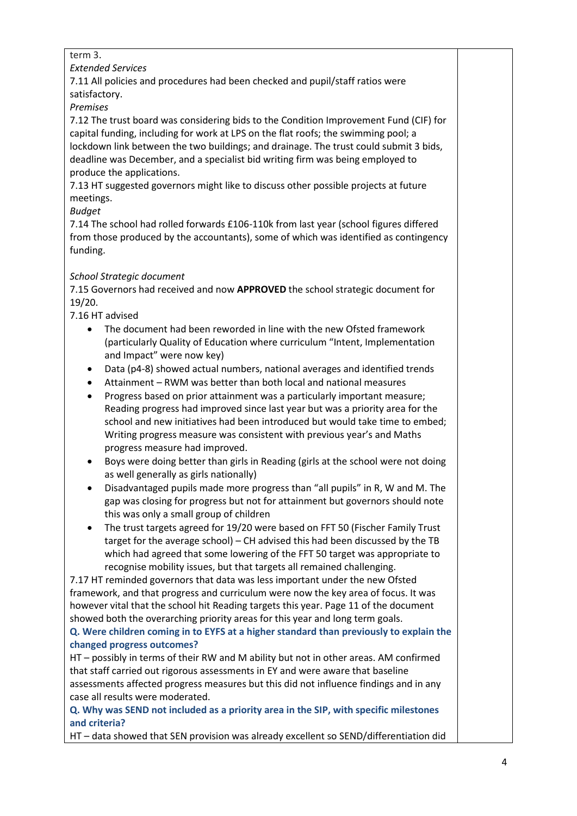## term 3.

*Extended Services*

7.11 All policies and procedures had been checked and pupil/staff ratios were satisfactory.

*Premises*

7.12 The trust board was considering bids to the Condition Improvement Fund (CIF) for capital funding, including for work at LPS on the flat roofs; the swimming pool; a lockdown link between the two buildings; and drainage. The trust could submit 3 bids, deadline was December, and a specialist bid writing firm was being employed to produce the applications.

7.13 HT suggested governors might like to discuss other possible projects at future meetings.

*Budget*

7.14 The school had rolled forwards £106-110k from last year (school figures differed from those produced by the accountants), some of which was identified as contingency funding.

## *School Strategic document*

7.15 Governors had received and now **APPROVED** the school strategic document for 19/20.

7.16 HT advised

- The document had been reworded in line with the new Ofsted framework (particularly Quality of Education where curriculum "Intent, Implementation and Impact" were now key)
- Data (p4-8) showed actual numbers, national averages and identified trends
- Attainment RWM was better than both local and national measures
- Progress based on prior attainment was a particularly important measure; Reading progress had improved since last year but was a priority area for the school and new initiatives had been introduced but would take time to embed; Writing progress measure was consistent with previous year's and Maths progress measure had improved.
- Boys were doing better than girls in Reading (girls at the school were not doing as well generally as girls nationally)
- Disadvantaged pupils made more progress than "all pupils" in R, W and M. The gap was closing for progress but not for attainment but governors should note this was only a small group of children
- The trust targets agreed for 19/20 were based on FFT 50 (Fischer Family Trust target for the average school) – CH advised this had been discussed by the TB which had agreed that some lowering of the FFT 50 target was appropriate to recognise mobility issues, but that targets all remained challenging.

7.17 HT reminded governors that data was less important under the new Ofsted framework, and that progress and curriculum were now the key area of focus. It was however vital that the school hit Reading targets this year. Page 11 of the document showed both the overarching priority areas for this year and long term goals.

## **Q. Were children coming in to EYFS at a higher standard than previously to explain the changed progress outcomes?**

HT – possibly in terms of their RW and M ability but not in other areas. AM confirmed that staff carried out rigorous assessments in EY and were aware that baseline assessments affected progress measures but this did not influence findings and in any case all results were moderated.

**Q. Why was SEND not included as a priority area in the SIP, with specific milestones and criteria?**

HT – data showed that SEN provision was already excellent so SEND/differentiation did